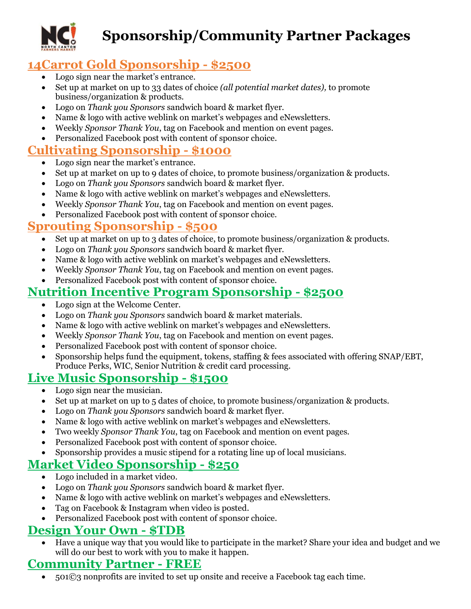

# **Sponsorship/Community Partner Packages**

# **14Carrot Gold Sponsorship - \$2500**

- Logo sign near the market's entrance.
- Set up at market on up to 33 dates of choice *(all potential market dates),* to promote business/organization & products.
- Logo on *Thank you Sponsors* sandwich board & market flyer.
- Name & logo with active weblink on market's webpages and eNewsletters.
- Weekly *Sponsor Thank You*, tag on Facebook and mention on event pages.
- Personalized Facebook post with content of sponsor choice.

#### **Cultivating Sponsorship - \$1000**

- Logo sign near the market's entrance.
- Set up at market on up to 9 dates of choice, to promote business/organization & products.
- Logo on *Thank you Sponsors* sandwich board & market flyer.
- Name & logo with active weblink on market's webpages and eNewsletters.
- Weekly *Sponsor Thank You*, tag on Facebook and mention on event pages.
- Personalized Facebook post with content of sponsor choice.

#### **Sprouting Sponsorship - \$500**

- Set up at market on up to 3 dates of choice, to promote business/organization & products.
- Logo on *Thank you Sponsors* sandwich board & market flyer.
- Name & logo with active weblink on market's webpages and eNewsletters.
- Weekly *Sponsor Thank You*, tag on Facebook and mention on event pages.
- Personalized Facebook post with content of sponsor choice.

#### **Nutrition Incentive Program Sponsorship - \$2500**

- Logo sign at the Welcome Center.
- Logo on *Thank you Sponsors* sandwich board & market materials.
- Name & logo with active weblink on market's webpages and eNewsletters.
- Weekly *Sponsor Thank You*, tag on Facebook and mention on event pages.
- Personalized Facebook post with content of sponsor choice.
- Sponsorship helps fund the equipment, tokens, staffing & fees associated with offering SNAP/EBT, Produce Perks, WIC, Senior Nutrition & credit card processing.

## **Live Music Sponsorship - \$1500**

- Logo sign near the musician.
- Set up at market on up to 5 dates of choice, to promote business/organization & products.
- Logo on *Thank you Sponsors* sandwich board & market flyer.
- Name & logo with active weblink on market's webpages and eNewsletters.
- Two weekly *Sponsor Thank You*, tag on Facebook and mention on event pages.
- Personalized Facebook post with content of sponsor choice.
- Sponsorship provides a music stipend for a rotating line up of local musicians.

## **Market Video Sponsorship - \$250**

- Logo included in a market video.
- Logo on *Thank you Sponsors* sandwich board & market flyer.
- Name & logo with active weblink on market's webpages and eNewsletters.
- Tag on Facebook & Instagram when video is posted.
- Personalized Facebook post with content of sponsor choice.

#### **Design Your Own - \$TDB**

• Have a unique way that you would like to participate in the market? Share your idea and budget and we will do our best to work with you to make it happen.

## **Community Partner - FREE**

• 501©3 nonprofits are invited to set up onsite and receive a Facebook tag each time.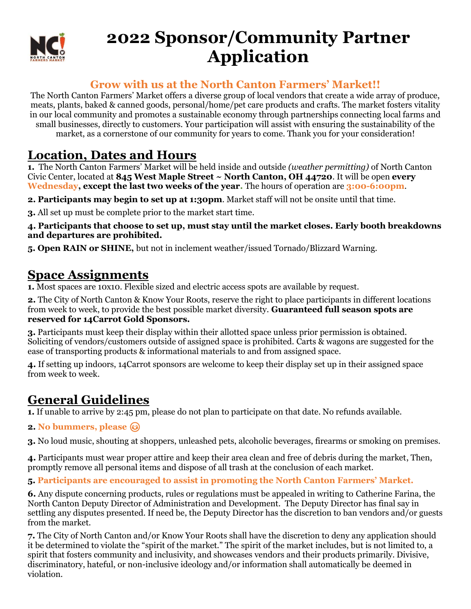

# **2022 Sponsor/Community Partner Application**

#### **Grow with us at the North Canton Farmers' Market!!**

The North Canton Farmers' Market offers a diverse group of local vendors that create a wide array of produce, meats, plants, baked & canned goods, personal/home/pet care products and crafts. The market fosters vitality in our local community and promotes a sustainable economy through partnerships connecting local farms and small businesses, directly to customers. Your participation will assist with ensuring the sustainability of the market, as a cornerstone of our community for years to come. Thank you for your consideration!

## **Location, Dates and Hours**

**1.** The North Canton Farmers' Market will be held inside and outside *(weather permitting)* of North Canton Civic Center, located at **845 West Maple Street ~ North Canton, OH 44720***.* It will be open **every Wednesday, except the last two weeks of the year.** The hours of operation are **3:00-6:00pm**.

**2. Participants may begin to set up at 1:30pm**. Market staff will not be onsite until that time.

**3.** All set up must be complete prior to the market start time.

**4. Participants that choose to set up, must stay until the market closes. Early booth breakdowns and departures are prohibited.**

**5. Open RAIN or SHINE,** but not in inclement weather/issued Tornado/Blizzard Warning.

## **Space Assignments**

**1.** Most spaces are 10x10. Flexible sized and electric access spots are available by request.

**2.** The City of North Canton & Know Your Roots, reserve the right to place participants in different locations from week to week, to provide the best possible market diversity. **Guaranteed full season spots are reserved for 14Carrot Gold Sponsors.** 

**3.** Participants must keep their display within their allotted space unless prior permission is obtained. Soliciting of vendors/customers outside of assigned space is prohibited. Carts & wagons are suggested for the ease of transporting products & informational materials to and from assigned space.

**4.** If setting up indoors, 14Carrot sponsors are welcome to keep their display set up in their assigned space from week to week.

# **General Guidelines**

**1.** If unable to arrive by 2:45 pm, please do not plan to participate on that date. No refunds available.

**2. No bummers, please** 

**3.** No loud music, shouting at shoppers, unleashed pets, alcoholic beverages, firearms or smoking on premises.

**4.** Participants must wear proper attire and keep their area clean and free of debris during the market, Then, promptly remove all personal items and dispose of all trash at the conclusion of each market.

#### **5. Participants are encouraged to assist in promoting the North Canton Farmers' Market.**

**6.** Any dispute concerning products, rules or regulations must be appealed in writing to Catherine Farina, the North Canton Deputy Director of Administration and Development. The Deputy Director has final say in settling any disputes presented. If need be, the Deputy Director has the discretion to ban vendors and/or guests from the market.

**7.** The City of North Canton and/or Know Your Roots shall have the discretion to deny any application should it be determined to violate the "spirit of the market." The spirit of the market includes, but is not limited to, a spirit that fosters community and inclusivity, and showcases vendors and their products primarily. Divisive, discriminatory, hateful, or non-inclusive ideology and/or information shall automatically be deemed in violation.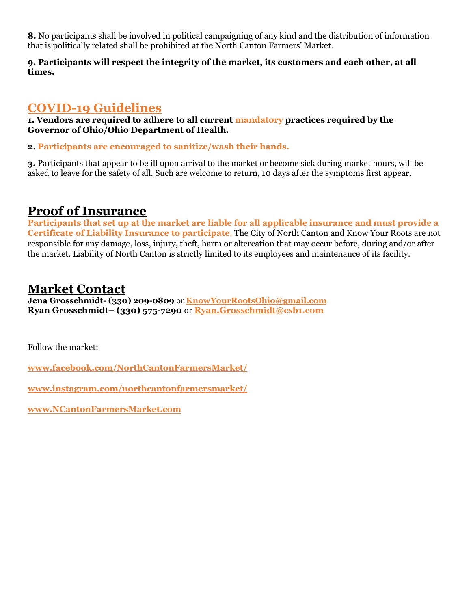**8.** No participants shall be involved in political campaigning of any kind and the distribution of information that is politically related shall be prohibited at the North Canton Farmers' Market.

**9. Participants will respect the integrity of the market, its customers and each other, at all times.** 

## **COVID-19 Guidelines**

**1. Vendors are required to adhere to all current mandatory practices required by the Governor of Ohio/Ohio Department of Health.**

**2. Participants are encouraged to sanitize/wash their hands.**

**3.** Participants that appear to be ill upon arrival to the market or become sick during market hours, will be asked to leave for the safety of all. Such are welcome to return, 10 days after the symptoms first appear.

## **Proof of Insurance**

**Participants that set up at the market are liable for all applicable insurance and must provide a Certificate of Liability Insurance to participate**. The City of North Canton and Know Your Roots are not responsible for any damage, loss, injury, theft, harm or altercation that may occur before, during and/or after the market. Liability of North Canton is strictly limited to its employees and maintenance of its facility.

## **Market Contact**

**Jena Grosschmidt- (330) 209-0809** or **[KnowYourRootsOhio@gmail.com](mailto:KnowYourRootsOhio@gmail.com) Ryan Grosschmidt– (330) 575-7290** or **[Ryan.Grosschmidt@](mailto:KnowYourRootsOhio@gmail.com)csb1.com**

Follow the market:

**[www.facebook.com/NorthCantonFarmersMarket/](http://www.facebook.com/NorthCantonFarmersMarket/)**

**www.instagram.com/northcantonfarmersmarket/**

**www.NCantonFarmersMarket.com**